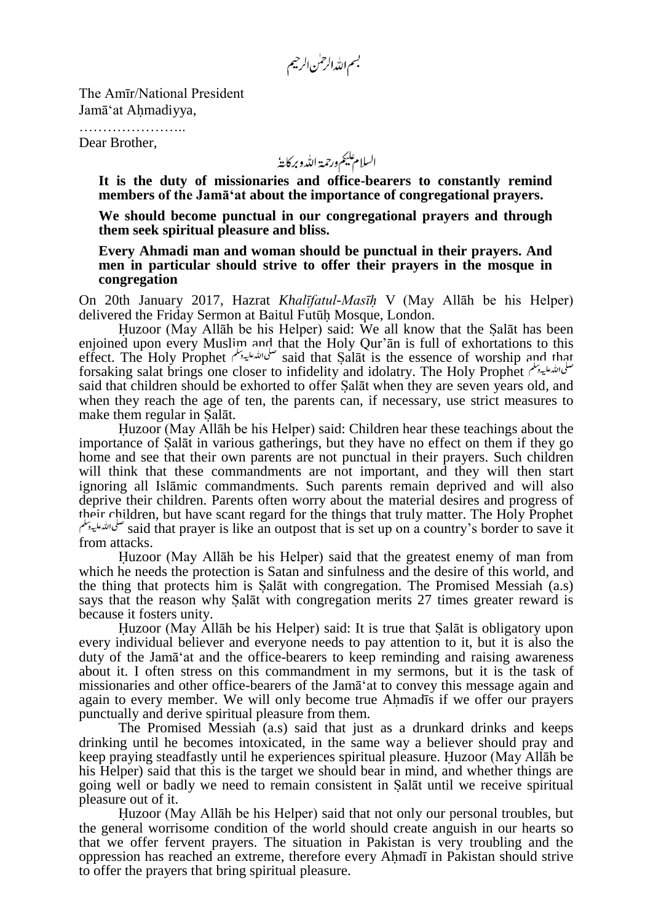بسم الله الرحمٰن الرحيم

The Amīr/National President Jamā'at Ahmadiyya,

………………………… Dear Brother,

السلام عليم ورحمة اللدو بركايةُ

**It is the duty of missionaries and office-bearers to constantly remind members of the Jamā'at about the importance of congregational prayers.**

**We should become punctual in our congregational prayers and through them seek spiritual pleasure and bliss.**

**Every Ahmadi man and woman should be punctual in their prayers. And men in particular should strive to offer their prayers in the mosque in congregation**

On 20th January 2017, Hazrat *Khalīfatul-Masīh* V (May Allāh be his Helper) delivered the Friday Sermon at Baitul Futūh Mosque, London.

Huzoor (May Allāh be his Helper) said: We all know that the Salāt has been enjoined upon every Muslim and that the Holy Qur'ān is full of exhortations to this effect. The Holy Prophet هنگمانشنگیهوسلم said that Salāt is the essence of worship and that forsaking salat brings one closer to infidelity and idolatry. The Holy Prophet said that children should be exhorted to offer Salāt when they are seven years old, and when they reach the age of ten, the parents can, if necessary, use strict measures to make them regular in Salāt.

Huzoor (May Allāh be his Helper) said: Children hear these teachings about the importance of Salāt in various gatherings, but they have no effect on them if they go home and see that their own parents are not punctual in their prayers. Such children will think that these commandments are not important, and they will then start ignoring all Islāmic commandments. Such parents remain deprived and will also deprive their children. Parents often worry about the material desires and progress of their children, but have scant regard for the things that truly matter. The Holy Prophet said that prayer is like an outpost that is set up on a country's border to save it from attacks.

Huzoor (May Allāh be his Helper) said that the greatest enemy of man from which he needs the protection is Satan and sinfulness and the desire of this world, and the thing that protects him is Salāt with congregation. The Promised Messiah (a.s) says that the reason why Salāt with congregation merits 27 times greater reward is because it fosters unity.

Huzoor (May Allāh be his Helper) said: It is true that Salāt is obligatory upon every individual believer and everyone needs to pay attention to it, but it is also the duty of the Jamā'at and the office-bearers to keep reminding and raising awareness about it. I often stress on this commandment in my sermons, but it is the task of missionaries and other office-bearers of the Jamā'at to convey this message again and again to every member. We will only become true Ahmadīs if we offer our prayers punctually and derive spiritual pleasure from them.

The Promised Messiah (a.s) said that just as a drunkard drinks and keeps drinking until he becomes intoxicated, in the same way a believer should pray and keep praying steadfastly until he experiences spiritual pleasure. Huzoor (May Allāh be his Helper) said that this is the target we should bear in mind, and whether things are going well or badly we need to remain consistent in Salāt until we receive spiritual pleasure out of it.

Huzoor (May Allāh be his Helper) said that not only our personal troubles, but the general worrisome condition of the world should create anguish in our hearts so that we offer fervent prayers. The situation in Pakistan is very troubling and the oppression has reached an extreme, therefore every Ahmadī in Pakistan should strive to offer the prayers that bring spiritual pleasure.